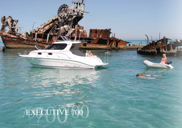EXECUTIVE 700

 $\mathbf{r}$ 

Croix Cross

**GIA RS**